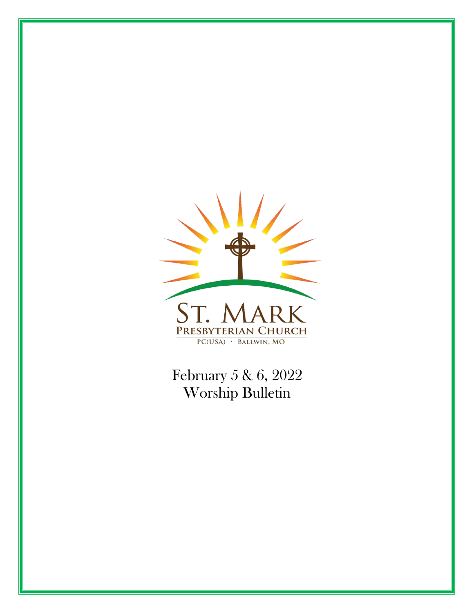

February 5 & 6, 2022 Worship Bulletin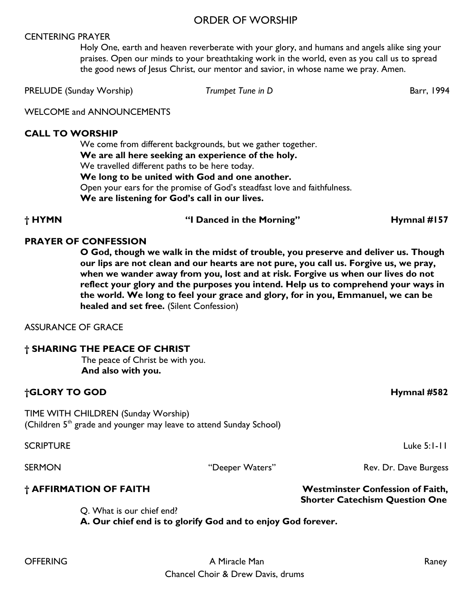## ORDER OF WORSHIP

#### CENTERING PRAYER

Holy One, earth and heaven reverberate with your glory, and humans and angels alike sing your praises. Open our minds to your breathtaking work in the world, even as you call us to spread the good news of Jesus Christ, our mentor and savior, in whose name we pray. Amen.

PRELUDE (Sunday Worship) *Trumpet Tune in D* Barr, 1994

WELCOME and ANNOUNCEMENTS

#### **CALL TO WORSHIP**

We come from different backgrounds, but we gather together. **We are all here seeking an experience of the holy.** We travelled different paths to be here today. **We long to be united with God and one another.** Open your ears for the promise of God's steadfast love and faithfulness. **We are listening for God's call in our lives.**

**† HYMN "I Danced in the Morning" Hymnal #157**

#### **PRAYER OF CONFESSION**

**O God, though we walk in the midst of trouble, you preserve and deliver us. Though our lips are not clean and our hearts are not pure, you call us. Forgive us, we pray, when we wander away from you, lost and at risk. Forgive us when our lives do not reflect your glory and the purposes you intend. Help us to comprehend your ways in the world. We long to feel your grace and glory, for in you, Emmanuel, we can be healed and set free.** (Silent Confession)

ASSURANCE OF GRACE

| † SHARING THE PEACE OF CHRIST    |  |  |  |
|----------------------------------|--|--|--|
| The peace of Christ be with you. |  |  |  |

**And also with you.**

## **†GLORY TO GOD Hymnal #582**

TIME WITH CHILDREN (Sunday Worship) (Children 5<sup>th</sup> grade and younger may leave to attend Sunday School)

SCRIPTURE Luke 5:1-11

SERMON THE SERMON "Deeper Waters" Rev. Dr. Dave Burgess

## **† AFFIRMATION OF FAITH Westminster Confession of Faith,**

Q. What is our chief end?

 **A. Our chief end is to glorify God and to enjoy God forever.** 

 **Shorter Catechism Question One**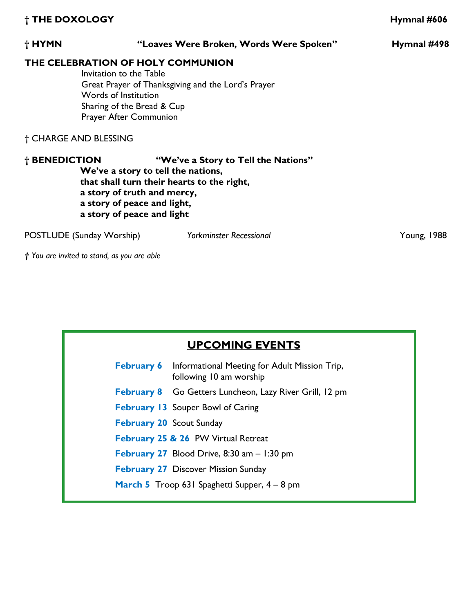| † THE DOXOLOGY        |                                                                                                                                |                                                                                         | Hymnal #606 |
|-----------------------|--------------------------------------------------------------------------------------------------------------------------------|-----------------------------------------------------------------------------------------|-------------|
| † HYMN                |                                                                                                                                | "Loaves Were Broken, Words Were Spoken"                                                 | Hymnal #498 |
|                       | Invitation to the Table<br>Words of Institution<br>Sharing of the Bread & Cup<br>Prayer After Communion                        | THE CELEBRATION OF HOLY COMMUNION<br>Great Prayer of Thanksgiving and the Lord's Prayer |             |
| † CHARGE AND BLESSING |                                                                                                                                |                                                                                         |             |
| † BENEDICTION         | We've a story to tell the nations,<br>a story of truth and mercy,<br>a story of peace and light,<br>a story of peace and light | "We've a Story to Tell the Nations"<br>that shall turn their hearts to the right,       |             |
|                       | POSTLUDE (Sunday Worship)                                                                                                      | <b>Yorkminster Recessional</b>                                                          | Young, 1988 |

*† You are invited to stand, as you are able* 

| <b>UPCOMING EVENTS</b>          |                                                                                            |  |  |
|---------------------------------|--------------------------------------------------------------------------------------------|--|--|
|                                 | <b>February 6</b> Informational Meeting for Adult Mission Trip,<br>following 10 am worship |  |  |
|                                 | February 8 Go Getters Luncheon, Lazy River Grill, 12 pm                                    |  |  |
|                                 | <b>February 13</b> Souper Bowl of Caring                                                   |  |  |
| <b>February 20 Scout Sunday</b> |                                                                                            |  |  |
|                                 | February 25 & 26 PW Virtual Retreat                                                        |  |  |
|                                 | <b>February 27</b> Blood Drive, 8:30 am $-1:30$ pm                                         |  |  |
|                                 | <b>February 27 Discover Mission Sunday</b>                                                 |  |  |
|                                 | <b>March 5</b> Troop 631 Spaghetti Supper, 4 – 8 pm                                        |  |  |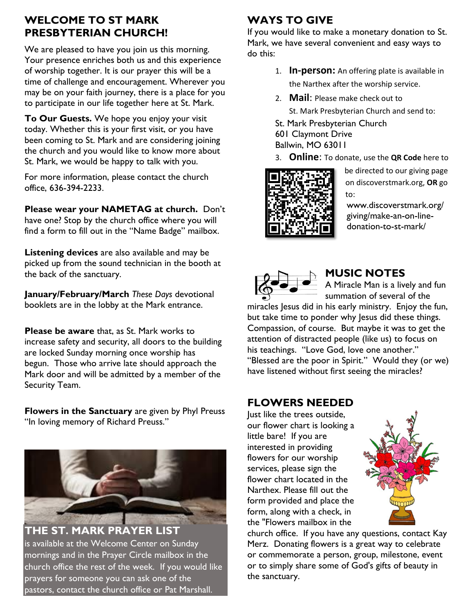# **WELCOME TO ST MARK PRESBYTERIAN CHURCH!**

We are pleased to have you join us this morning. Your presence enriches both us and this experience of worship together. It is our prayer this will be a time of challenge and encouragement. Wherever you may be on your faith journey, there is a place for you to participate in our life together here at St. Mark.

**To Our Guests.** We hope you enjoy your visit today. Whether this is your first visit, or you have been coming to St. Mark and are considering joining the church and you would like to know more about St. Mark, we would be happy to talk with you.

For more information, please contact the church office, 636-394-2233.

**Please wear your NAMETAG at church.** Don't have one? Stop by the church office where you will find a form to fill out in the "Name Badge" mailbox.

**Listening devices** are also available and may be picked up from the sound technician in the booth at the back of the sanctuary.

**January/February/March** *These Days* devotional booklets are in the lobby at the Mark entrance.

**Please be aware** that, as St. Mark works to increase safety and security, all doors to the building are locked Sunday morning once worship has begun. Those who arrive late should approach the Mark door and will be admitted by a member of the Security Team.

**Flowers in the Sanctuary** are given by Phyl Preuss "In loving memory of Richard Preuss."



**THE ST. MARK PRAYER LIST** is available at the Welcome Center on Sunday mornings and in the Prayer Circle mailbox in the church office the rest of the week. If you would like prayers for someone you can ask one of the pastors, contact the church office or Pat Marshall.

# **WAYS TO GIVE**

If you would like to make a monetary donation to St. Mark, we have several convenient and easy ways to do this:

- 1. **In-person:** An offering plate is available in the Narthex after the worship service.
- 2. **Mail**: Please make check out to St. Mark Presbyterian Church and send to:
- St. Mark Presbyterian Church
- 601 Claymont Drive Ballwin, MO 63011
- 3. **Online**: To donate, use the **QR Code** here to



be directed to our giving page on discoverstmark.org, **OR** go to:

www.discoverstmark.org/ giving/make-an-on-linedonation-to-st-mark/



# **MUSIC NOTES**

A Miracle Man is a lively and fun summation of several of the

miracles Jesus did in his early ministry. Enjoy the fun, but take time to ponder why Jesus did these things. Compassion, of course. But maybe it was to get the attention of distracted people (like us) to focus on his teachings. "Love God, love one another." "Blessed are the poor in Spirit." Would they (or we) have listened without first seeing the miracles?

# **FLOWERS NEEDED**

Just like the trees outside, our flower chart is looking a little bare! If you are interested in providing flowers for our worship services, please sign the flower chart located in the Narthex. Please fill out the form provided and place the form, along with a check, in the "Flowers mailbox in the



church office. If you have any questions, contact Kay Merz. Donating flowers is a great way to celebrate or commemorate a person, group, milestone, event or to simply share some of God's gifts of beauty in the sanctuary.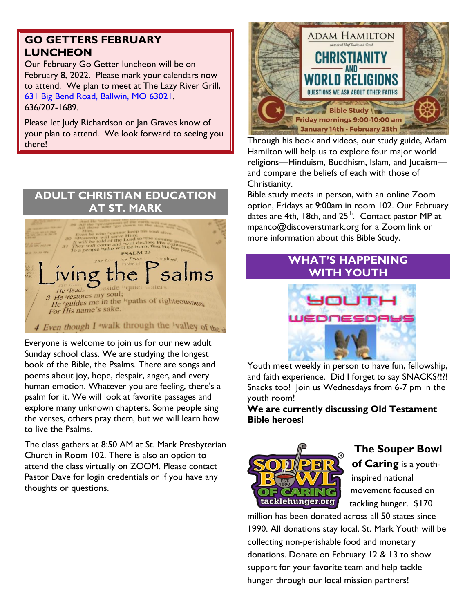# **GO GETTERS FEBRUARY LUNCHEON**

Our February Go Getter luncheon will be on February 8, 2022. Please mark your calendars now to attend. We plan to meet at The Lazy River Grill, [631 Big Bend Road, Ballwin, MO](https://www.google.com/maps/search/631+Big+Bend+Road,+Ballwin,+MO+63021?entry=gmail&source=g) [63021.](https://www.google.com/maps/search/631+Big+Bend+Road,+Ballwin,+MO+63021?entry=gmail&source=g) 636/207-1689.

Please let Judy Richardson or Jan Graves know of your plan to attend. We look forward to seeing you there!



Everyone is welcome to join us for our new adult Sunday school class. We are studying the longest book of the Bible, the Psalms. There are songs and poems about joy, hope, despair, anger, and every human emotion. Whatever you are feeling, there's a psalm for it. We will look at favorite passages and explore many unknown chapters. Some people sing the verses, others pray them, but we will learn how to live the Psalms.

The class gathers at 8:50 AM at St. Mark Presbyterian Church in Room 102. There is also an option to attend the class virtually on ZOOM. Please contact Pastor Dave for login credentials or if you have any thoughts or questions.



Through his book and videos, our study guide, Adam Hamilton will help us to explore four major world religions—Hinduism, Buddhism, Islam, and Judaism and compare the beliefs of each with those of Christianity.

Bible study meets in person, with an online Zoom option, Fridays at 9:00am in room 102. Our February dates are 4th, 18th, and 25<sup>th</sup>. Contact pastor MP at mpanco@discoverstmark.org for a Zoom link or more information about this Bible Study.

# **WHAT'S HAPPENING WITH YOUTH**



Youth meet weekly in person to have fun, fellowship, and faith experience. Did I forget to say SNACKS?!?! Snacks too! Join us Wednesdays from 6-7 pm in the youth room!

**We are currently discussing Old Testament Bible heroes!**



# **The Souper Bowl**

**of Caring** is a youthinspired national movement focused on tackling hunger. \$170

million has been donated across all 50 states since 1990. All donations stay local. St. Mark Youth will be collecting non-perishable food and monetary donations. Donate on February 12 & 13 to show support for your favorite team and help tackle hunger through our local mission partners!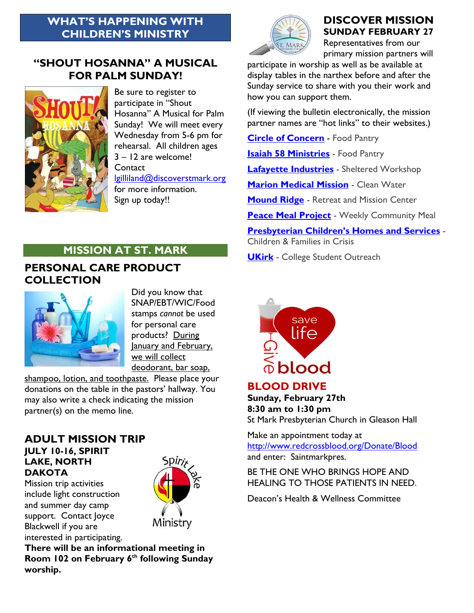## **WHAT'S HAPPENING WITH CHILDREN'S MINISTRY**

## **"SHOUT HOSANNA" A MUSICAL FOR PALM SUNDAY!**



Be sure to register to participate in "Shout Hosanna" A Musical for Palm Sunday! We will meet every Wednesday from 5-6 pm for rehearsal. All children ages 3 – 12 are welcome! **Contact** 

[lgilliland@discoverstmark.org](mailto:lgilliland@discoverstmark.org) for more information. Sign up today!!

## **DISCOVER MISSION SUNDAY FEBRUARY 27**

Representatives from our primary mission partners will

participate in worship as well as be available at display tables in the narthex before and after the Sunday service to share with you their work and how you can support them.

(If viewing the bulletin electronically, the mission partner names are "hot links" to their websites.)

**[Circle of Concern](https://www.circleofconcern.org/)** - Food Pantry

**C. MAR** 

**[Isaiah 58 Ministries](http://i58ministries.org/)** - Food Pantry

**[Lafayette Industries](http://lafayetteindustries.com/)** - Sheltered Workshop

**[Marion Medical Mission](https://d.docs.live.net/ba43d0df6f3bbde3/Documents/St.%20Mark%20Mission/mmmwater.org) - Clean Water** 

**[Mound Ridge](http://moundridge.org/)** - Retreat and Mission Center

**[Peace Meal Project](http://towergrovechurch.org/peace-meal/)** - Weekly Community Meal

**[Presbyterian Children's Homes and Services](http://pchas.org/)** -

Children & Families in Crisis

**[UKirk](http://ukirkstl.org/)** - College Student Outreach

# **MISSION AT ST. MARK**

## **PERSONAL CARE PRODUCT COLLECTION**



Did you know that SNAP/EBT/WIC/Food stamps *cannot* be used for personal care products? During January and February, we will collect deodorant, bar soap,

shampoo, lotion, and toothpaste. Please place your donations on the table in the pastors' hallway. You may also write a check indicating the mission partner(s) on the memo line.

#### **ADULT MISSION TRIP JULY 10-16, SPIRIT LAKE, NORTH DAKOTA**

Mission trip activities include light construction and summer day camp support. Contact Joyce Blackwell if you are interested in participating.



**There will be an informational meeting in Room 102 on February 6 th following Sunday worship.** 



## **BLOOD DRIVE**

**Sunday, February 27th 8:30 am to 1:30 pm** St Mark Presbyterian Church in Gleason Hall

Make an appointment today at <http://www.redcrossblood.org/Donate/Blood> and enter: Saintmarkpres.

BE THE ONE WHO BRINGS HOPE AND HEALING TO THOSE PATIENTS IN NEED.

Deacon's Health & Wellness Committee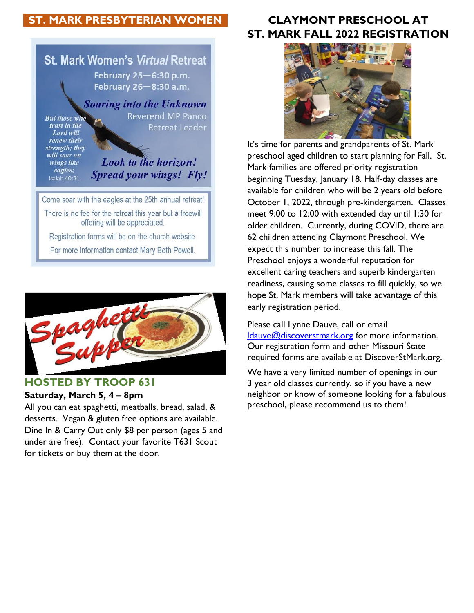# **ST. MARK PRESBYTERIAN WOMEN**





## **HOSTED BY TROOP 631**

#### **Saturday, March 5, 4 – 8pm**

All you can eat spaghetti, meatballs, bread, salad, & desserts. Vegan & gluten free options are available. Dine In & Carry Out only \$8 per person (ages 5 and under are free). Contact your favorite T631 Scout for tickets or buy them at the door.

# **CLAYMONT PRESCHOOL AT ST. MARK FALL 2022 REGISTRATION**



It's time for parents and grandparents of St. Mark preschool aged children to start planning for Fall. St. Mark families are offered priority registration beginning Tuesday, January 18. Half-day classes are available for children who will be 2 years old before October 1, 2022, through pre-kindergarten. Classes meet 9:00 to 12:00 with extended day until 1:30 for older children. Currently, during COVID, there are 62 children attending Claymont Preschool. We expect this number to increase this fall. The Preschool enjoys a wonderful reputation for excellent caring teachers and superb kindergarten readiness, causing some classes to fill quickly, so we hope St. Mark members will take advantage of this early registration period.

Please call Lynne Dauve, call or email [ldauve@discoverstmark.org](mailto:ldauve@discoverstmark.org) for more information. Our registration form and other Missouri State required forms are available at DiscoverStMark.org.

We have a very limited number of openings in our 3 year old classes currently, so if you have a new neighbor or know of someone looking for a fabulous preschool, please recommend us to them!